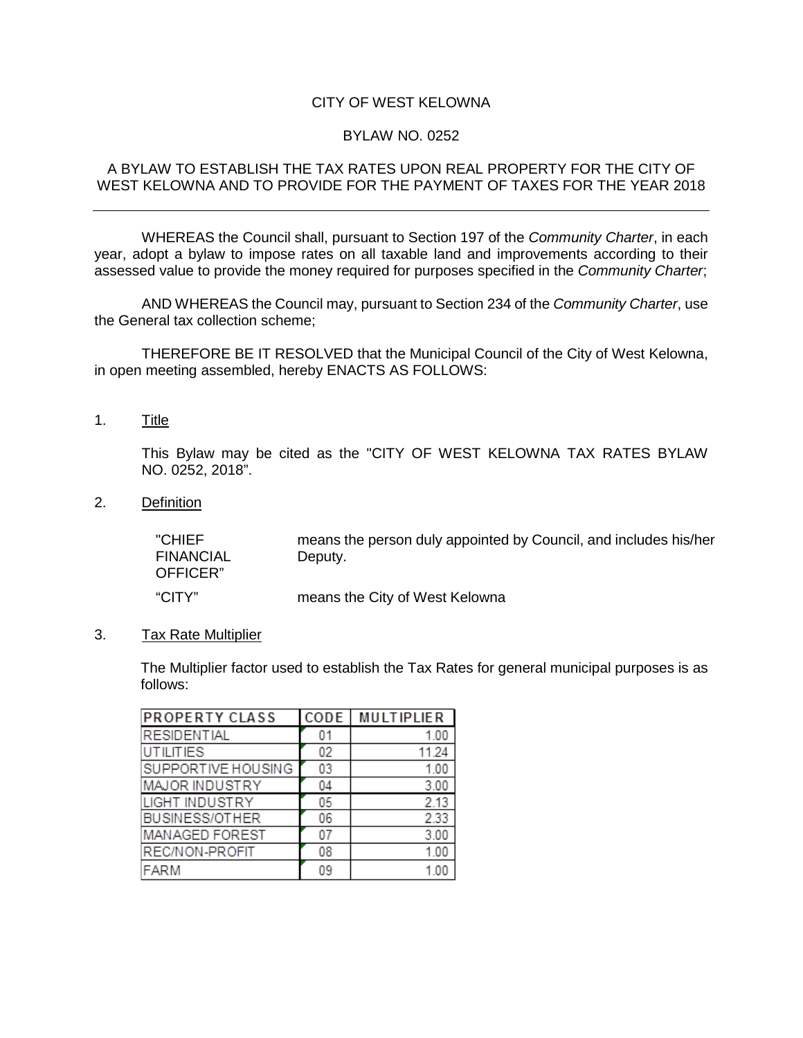### CITY OF WEST KELOWNA

#### BYLAW NO. 0252

#### A BYLAW TO ESTABLISH THE TAX RATES UPON REAL PROPERTY FOR THE CITY OF WEST KELOWNA AND TO PROVIDE FOR THE PAYMENT OF TAXES FOR THE YEAR 2018

WHEREAS the Council shall, pursuant to Section 197 of the *Community Charter*, in each year, adopt a bylaw to impose rates on all taxable land and improvements according to their assessed value to provide the money required for purposes specified in the *Community Charter*;

AND WHEREAS the Council may, pursuant to Section 234 of the *Community Charter*, use the General tax collection scheme;

THEREFORE BE IT RESOLVED that the Municipal Council of the City of West Kelowna, in open meeting assembled, hereby ENACTS AS FOLLOWS:

1. Title

This Bylaw may be cited as the "CITY OF WEST KELOWNA TAX RATES BYLAW NO. 0252, 2018".

2. Definition

"CHIEF FINANCIAL OFFICER" means the person duly appointed by Council, and includes his/her Deputy.

"CITY" means the City of West Kelowna

3. Tax Rate Multiplier

The Multiplier factor used to establish the Tax Rates for general municipal purposes is as follows:

| <b>PROPERTY CLASS</b> | <b>CODE</b> | <b>MULTIPLIER</b> |
|-----------------------|-------------|-------------------|
| <b>RESIDENTIAL</b>    | 01          | 1.00              |
| <b>UTILITIES</b>      | 02          | 11.24             |
| SUPPORTIVE HOUSING    | 03          | 1.00              |
| MAJOR INDUSTRY        | 04          | 3.00              |
| <b>LIGHT INDUSTRY</b> | 05          | 2.13              |
| <b>BUSINESS/OTHER</b> | 06          | 2.33              |
| MANAGED FOREST        | 07          | 3.00              |
| REC/NON-PROFIT        | 08          | 1.00              |
| <b>FARM</b>           | 09          | 1 00              |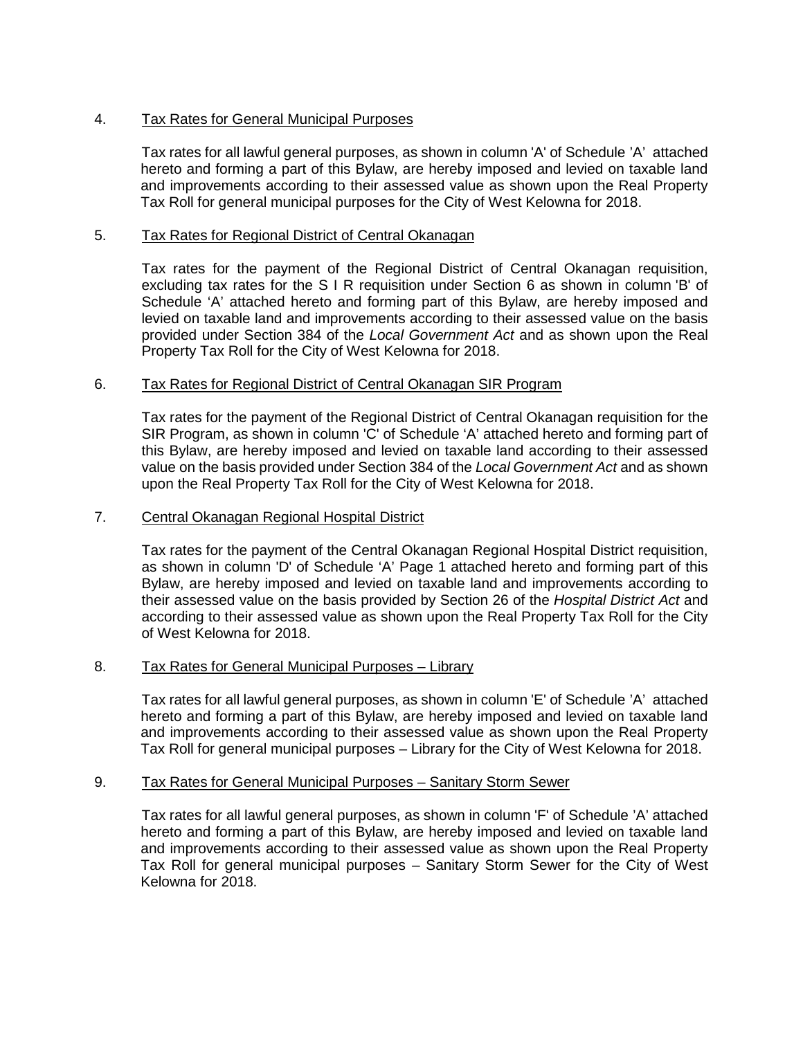# 4. Tax Rates for General Municipal Purposes

Tax rates for all lawful general purposes, as shown in column 'A' of Schedule 'A' attached hereto and forming a part of this Bylaw, are hereby imposed and levied on taxable land and improvements according to their assessed value as shown upon the Real Property Tax Roll for general municipal purposes for the City of West Kelowna for 2018.

# 5. Tax Rates for Regional District of Central Okanagan

Tax rates for the payment of the Regional District of Central Okanagan requisition, excluding tax rates for the S I R requisition under Section 6 as shown in column 'B' of Schedule 'A' attached hereto and forming part of this Bylaw, are hereby imposed and levied on taxable land and improvements according to their assessed value on the basis provided under Section 384 of the *Local Government Act* and as shown upon the Real Property Tax Roll for the City of West Kelowna for 2018.

# 6. Tax Rates for Regional District of Central Okanagan SIR Program

Tax rates for the payment of the Regional District of Central Okanagan requisition for the SIR Program, as shown in column 'C' of Schedule 'A' attached hereto and forming part of this Bylaw, are hereby imposed and levied on taxable land according to their assessed value on the basis provided under Section 384 of the *Local Government Act* and as shown upon the Real Property Tax Roll for the City of West Kelowna for 2018.

# 7. Central Okanagan Regional Hospital District

Tax rates for the payment of the Central Okanagan Regional Hospital District requisition, as shown in column 'D' of Schedule 'A' Page 1 attached hereto and forming part of this Bylaw, are hereby imposed and levied on taxable land and improvements according to their assessed value on the basis provided by Section 26 of the *Hospital District Act* and according to their assessed value as shown upon the Real Property Tax Roll for the City of West Kelowna for 2018.

## 8. Tax Rates for General Municipal Purposes – Library

Tax rates for all lawful general purposes, as shown in column 'E' of Schedule 'A' attached hereto and forming a part of this Bylaw, are hereby imposed and levied on taxable land and improvements according to their assessed value as shown upon the Real Property Tax Roll for general municipal purposes – Library for the City of West Kelowna for 2018.

## 9. Tax Rates for General Municipal Purposes – Sanitary Storm Sewer

Tax rates for all lawful general purposes, as shown in column 'F' of Schedule 'A' attached hereto and forming a part of this Bylaw, are hereby imposed and levied on taxable land and improvements according to their assessed value as shown upon the Real Property Tax Roll for general municipal purposes – Sanitary Storm Sewer for the City of West Kelowna for 2018.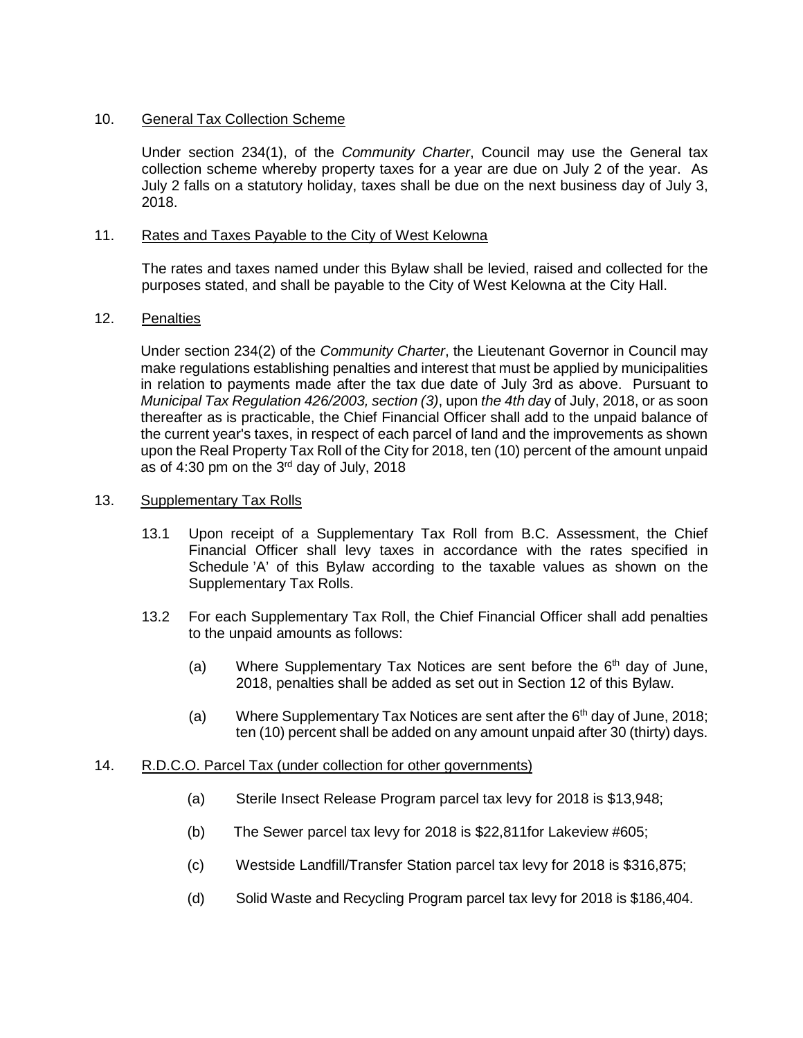### 10. General Tax Collection Scheme

Under section 234(1), of the *Community Charter*, Council may use the General tax collection scheme whereby property taxes for a year are due on July 2 of the year. As July 2 falls on a statutory holiday, taxes shall be due on the next business day of July 3, 2018.

#### 11. Rates and Taxes Payable to the City of West Kelowna

The rates and taxes named under this Bylaw shall be levied, raised and collected for the purposes stated, and shall be payable to the City of West Kelowna at the City Hall.

### 12. Penalties

Under section 234(2) of the *Community Charter*, the Lieutenant Governor in Council may make regulations establishing penalties and interest that must be applied by municipalities in relation to payments made after the tax due date of July 3rd as above. Pursuant to *Municipal Tax Regulation 426/2003, section (3)*, upon *the 4th da*y of July, 2018, or as soon thereafter as is practicable, the Chief Financial Officer shall add to the unpaid balance of the current year's taxes, in respect of each parcel of land and the improvements as shown upon the Real Property Tax Roll of the City for 2018, ten (10) percent of the amount unpaid as of 4:30 pm on the  $3<sup>rd</sup>$  day of July, 2018

#### 13. Supplementary Tax Rolls

- 13.1 Upon receipt of a Supplementary Tax Roll from B.C. Assessment, the Chief Financial Officer shall levy taxes in accordance with the rates specified in Schedule 'A' of this Bylaw according to the taxable values as shown on the Supplementary Tax Rolls.
- 13.2 For each Supplementary Tax Roll, the Chief Financial Officer shall add penalties to the unpaid amounts as follows:
	- (a) Where Supplementary Tax Notices are sent before the  $6<sup>th</sup>$  day of June, 2018, penalties shall be added as set out in Section 12 of this Bylaw.
	- (a) Where Supplementary Tax Notices are sent after the  $6<sup>th</sup>$  day of June, 2018; ten (10) percent shall be added on any amount unpaid after 30 (thirty) days.

#### 14. R.D.C.O. Parcel Tax (under collection for other governments)

- (a) Sterile Insect Release Program parcel tax levy for 2018 is \$13,948;
- (b) The Sewer parcel tax levy for 2018 is \$22,811for Lakeview #605;
- (c) Westside Landfill/Transfer Station parcel tax levy for 2018 is \$316,875;
- (d) Solid Waste and Recycling Program parcel tax levy for 2018 is \$186,404.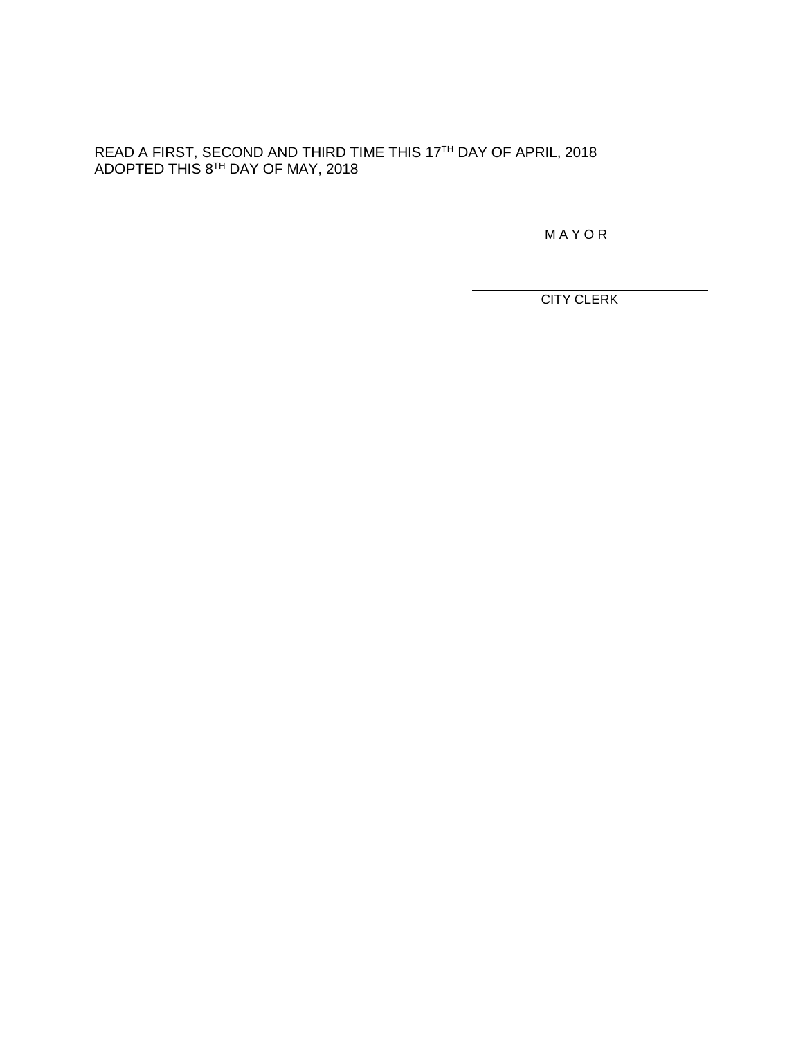## READ A FIRST, SECOND AND THIRD TIME THIS 17TH DAY OF APRIL, 2018 ADOPTED THIS  $8^{\text{\tiny{TH}}}$  DAY OF MAY, 2018

M A Y O R

CITY CLERK